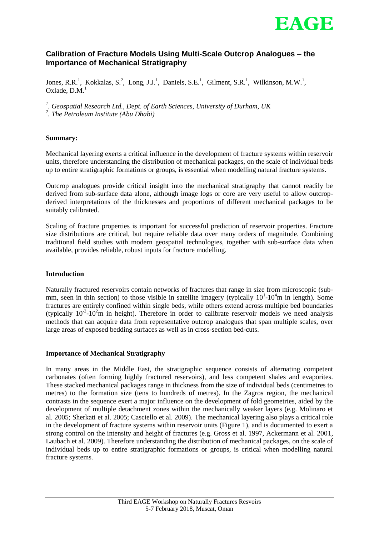

# **Calibration of Fracture Models Using Multi-Scale Outcrop Analogues – the Importance of Mechanical Stratigraphy**

Jones, R.R.<sup>1</sup>, Kokkalas, S.<sup>2</sup>, Long, J.J.<sup>1</sup>, Daniels, S.E.<sup>1</sup>, Gilment, S.R.<sup>1</sup>, Wilkinson, M.W.<sup>1</sup>, Oxlade,  $D.M.<sup>1</sup>$ 

*1 . Geospatial Research Ltd., Dept. of Earth Sciences, University of Durham, UK 2 . The Petroleum Institute (Abu Dhabi)*

### **Summary:**

Mechanical layering exerts a critical influence in the development of fracture systems within reservoir units, therefore understanding the distribution of mechanical packages, on the scale of individual beds up to entire stratigraphic formations or groups, is essential when modelling natural fracture systems.

Outcrop analogues provide critical insight into the mechanical stratigraphy that cannot readily be derived from sub-surface data alone, although image logs or core are very useful to allow outcropderived interpretations of the thicknesses and proportions of different mechanical packages to be suitably calibrated.

Scaling of fracture properties is important for successful prediction of reservoir properties. Fracture size distributions are critical, but require reliable data over many orders of magnitude. Combining traditional field studies with modern geospatial technologies, together with sub-surface data when available, provides reliable, robust inputs for fracture modelling.

### **Introduction**

Naturally fractured reservoirs contain networks of fractures that range in size from microscopic (submm, seen in thin section) to those visible in satellite imagery (typically  $10^1$ - $10^4$ m in length). Some fractures are entirely confined within single beds, while others extend across multiple bed boundaries (typically  $10^{-2}$ - $10^{2}$ m in height). Therefore in order to calibrate reservoir models we need analysis methods that can acquire data from representative outcrop analogues that span multiple scales, over large areas of exposed bedding surfaces as well as in cross-section bed-cuts.

### **Importance of Mechanical Stratigraphy**

In many areas in the Middle East, the stratigraphic sequence consists of alternating competent carbonates (often forming highly fractured reservoirs), and less competent shales and evaporites. These stacked mechanical packages range in thickness from the size of individual beds (centimetres to metres) to the formation size (tens to hundreds of metres). In the Zagros region, the mechanical contrasts in the sequence exert a major influence on the development of fold geometries, aided by the development of multiple detachment zones within the mechanically weaker layers (e.g. Molinaro et al. 2005; Sherkati et al. 2005; Casciello et al. 2009). The mechanical layering also plays a critical role in the development of fracture systems within reservoir units (Figure 1), and is documented to exert a strong control on the intensity and height of fractures (e.g. Gross et al. 1997, Ackermann et al. 2001, Laubach et al. 2009). Therefore understanding the distribution of mechanical packages, on the scale of individual beds up to entire stratigraphic formations or groups, is critical when modelling natural fracture systems.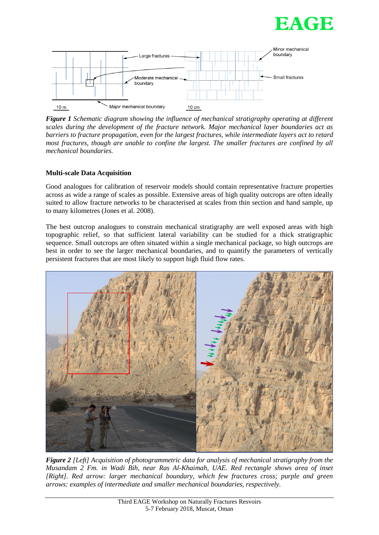



*Figure 1 Schematic diagram showing the influence of mechanical stratigraphy operating at different scales during the development of the fracture network. Major mechanical layer boundaries act as barriers to fracture propagation, even for the largest fractures, while intermediate layers act to retard most fractures, though are unable to confine the largest. The smaller fractures are confined by all mechanical boundaries.* 

## **Multi-scale Data Acquisition**

Good analogues for calibration of reservoir models should contain representative fracture properties across as wide a range of scales as possible. Extensive areas of high quality outcrops are often ideally suited to allow fracture networks to be characterised at scales from thin section and hand sample, up to many kilometres (Jones et al. 2008).

The best outcrop analogues to constrain mechanical stratigraphy are well exposed areas with high topographic relief, so that sufficient lateral variability can be studied for a thick stratigraphic sequence. Small outcrops are often situated within a single mechanical package, so high outcrops are best in order to see the larger mechanical boundaries, and to quantify the parameters of vertically persistent fractures that are most likely to support high fluid flow rates.



*Figure 2 [Left] Acquisition of photogrammetric data for analysis of mechanical stratigraphy from the Musandam 2 Fm. in Wadi Bih, near Ras Al-Khaimah, UAE. Red rectangle shows area of inset [Right]. Red arrow: larger mechanical boundary, which few fractures cross; purple and green arrows: examples of intermediate and smaller mechanical boundaries, respectively.*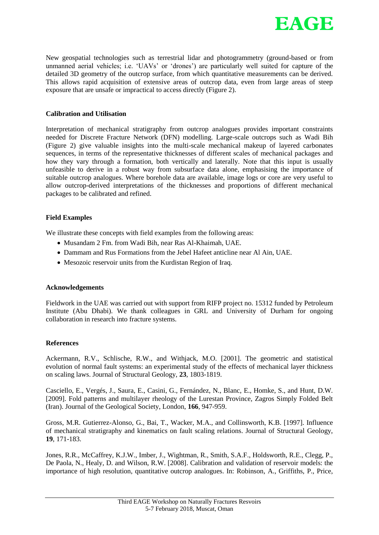

New geospatial technologies such as terrestrial lidar and photogrammetry (ground-based or from unmanned aerial vehicles; i.e. 'UAVs' or 'drones') are particularly well suited for capture of the detailed 3D geometry of the outcrop surface, from which quantitative measurements can be derived. This allows rapid acquisition of extensive areas of outcrop data, even from large areas of steep exposure that are unsafe or impractical to access directly (Figure 2).

### **Calibration and Utilisation**

Interpretation of mechanical stratigraphy from outcrop analogues provides important constraints needed for Discrete Fracture Network (DFN) modelling. Large-scale outcrops such as Wadi Bih (Figure 2) give valuable insights into the multi-scale mechanical makeup of layered carbonates sequences, in terms of the representative thicknesses of different scales of mechanical packages and how they vary through a formation, both vertically and laterally. Note that this input is usually unfeasible to derive in a robust way from subsurface data alone, emphasising the importance of suitable outcrop analogues. Where borehole data are available, image logs or core are very useful to allow outcrop-derived interpretations of the thicknesses and proportions of different mechanical packages to be calibrated and refined.

### **Field Examples**

We illustrate these concepts with field examples from the following areas:

- Musandam 2 Fm. from Wadi Bih, near Ras Al-Khaimah, UAE.
- Dammam and Rus Formations from the Jebel Hafeet anticline near Al Ain, UAE.
- Mesozoic reservoir units from the Kurdistan Region of Iraq.

## **Acknowledgements**

Fieldwork in the UAE was carried out with support from RIFP project no. 15312 funded by Petroleum Institute (Abu Dhabi). We thank colleagues in GRL and University of Durham for ongoing collaboration in research into fracture systems.

### **References**

Ackermann, R.V., Schlische, R.W., and Withjack, M.O. [2001]. The geometric and statistical evolution of normal fault systems: an experimental study of the effects of mechanical layer thickness on scaling laws. Journal of Structural Geology, **23**, 1803-1819.

Casciello, E., Vergés, J., Saura, E., Casini, G., Fernández, N., Blanc, E., Homke, S., and Hunt, D.W. [2009]. Fold patterns and multilayer rheology of the Lurestan Province, Zagros Simply Folded Belt (Iran). Journal of the Geological Society, London, **166**, 947-959.

Gross, M.R. Gutierrez-Alonso, G., Bai, T., Wacker, M.A., and Collinsworth, K.B. [1997]. Influence of mechanical stratigraphy and kinematics on fault scaling relations. Journal of Structural Geology, **19**, 171-183.

Jones, R.R., McCaffrey, K.J.W., Imber, J., Wightman, R., Smith, S.A.F., Holdsworth, R.E., Clegg, P., De Paola, N., Healy, D. and Wilson, R.W. [2008]. Calibration and validation of reservoir models: the importance of high resolution, quantitative outcrop analogues. In: Robinson, A., Griffiths, P., Price,